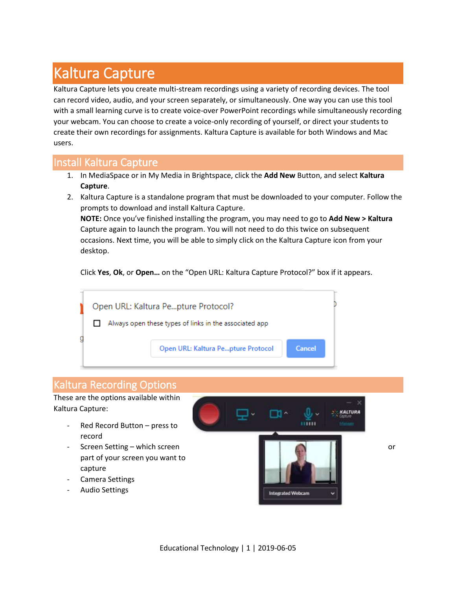# Kaltura Capture

Kaltura Capture lets you create multi-stream recordings using a variety of recording devices. The tool can record video, audio, and your screen separately, or simultaneously. One way you can use this tool with a small learning curve is to create voice-over PowerPoint recordings while simultaneously recording your webcam. You can choose to create a voice-only recording of yourself, or direct your students to create their own recordings for assignments. Kaltura Capture is available for both Windows and Mac users.

### Install Kaltura Capture

- 1. In MediaSpace or in My Media in Brightspace, click the **Add New** Button, and select **Kaltura Capture**.
- 2. Kaltura Capture is a standalone program that must be downloaded to your computer. Follow the prompts to download and install Kaltura Capture.

**NOTE:** Once you've finished installing the program, you may need to go to **Add New > Kaltura** Capture again to launch the program. You will not need to do this twice on subsequent occasions. Next time, you will be able to simply click on the Kaltura Capture icon from your desktop.

Click **Yes**, **Ok**, or **Open…** on the "Open URL: Kaltura Capture Protocol?" box if it appears.



#### Kaltura Recording Options

These are the options available within Kaltura Capture:

- Red Record Button press to record
- part of your screen you want to capture
- Camera Settings
- Audio Settings



Educational Technology | 1 | 2019-06-05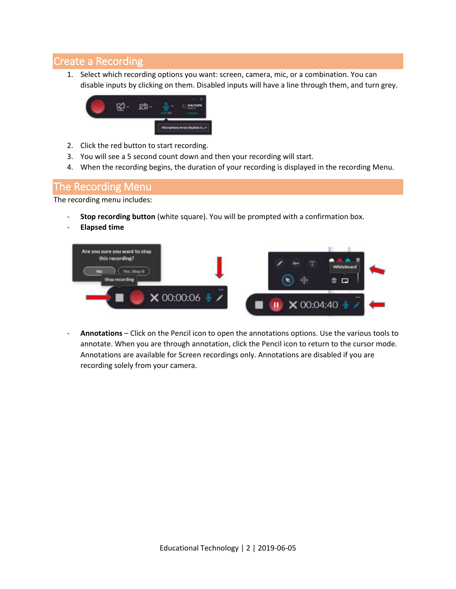## Create a Recording

1. Select which recording options you want: screen, camera, mic, or a combination. You can disable inputs by clicking on them. Disabled inputs will have a line through them, and turn grey.



- 2. Click the red button to start recording.
- 3. You will see a 5 second count down and then your recording will start.
- 4. When the recording begins, the duration of your recording is displayed in the recording Menu.

#### The Recording Menu

The recording menu includes:

- Stop recording button (white square). You will be prompted with a confirmation box.
- **Elapsed time**



- **Annotations** – Click on the Pencil icon to open the annotations options. Use the various tools to annotate. When you are through annotation, click the Pencil icon to return to the cursor mode. Annotations are available for Screen recordings only. Annotations are disabled if you are recording solely from your camera.